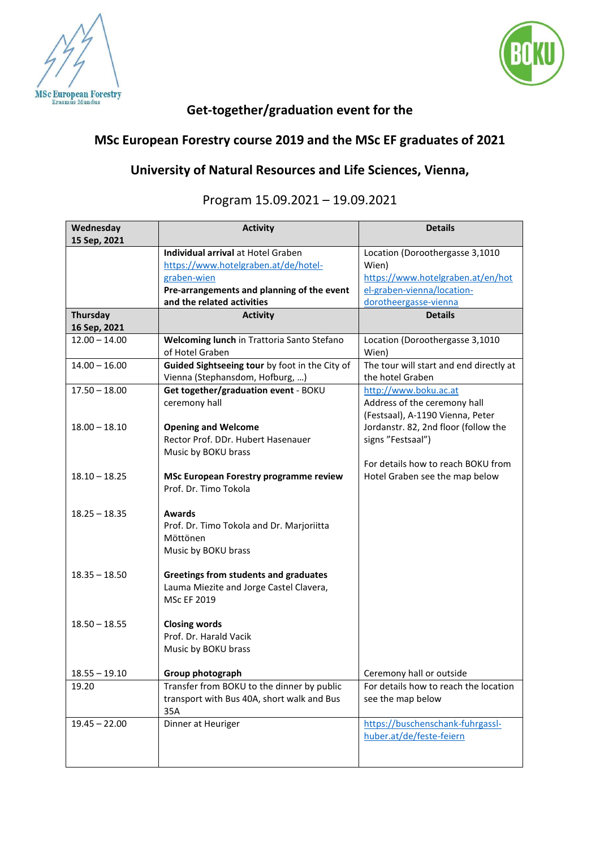



## **Get-together/graduation event for the**

## **MSc European Forestry course 2019 and the MSc EF graduates of 2021**

## **University of Natural Resources and Life Sciences, Vienna,**

| Wednesday       | <b>Activity</b>                                | <b>Details</b>                          |
|-----------------|------------------------------------------------|-----------------------------------------|
| 15 Sep, 2021    |                                                |                                         |
|                 | Individual arrival at Hotel Graben             | Location (Doroothergasse 3,1010         |
|                 | https://www.hotelgraben.at/de/hotel-           | Wien)                                   |
|                 | graben-wien                                    | https://www.hotelgraben.at/en/hot       |
|                 | Pre-arrangements and planning of the event     | el-graben-vienna/location-              |
|                 | and the related activities                     | dorotheergasse-vienna                   |
| Thursday        | <b>Activity</b>                                | <b>Details</b>                          |
| 16 Sep, 2021    |                                                |                                         |
| $12.00 - 14.00$ | Welcoming lunch in Trattoria Santo Stefano     | Location (Doroothergasse 3,1010         |
|                 | of Hotel Graben                                | Wien)                                   |
| $14.00 - 16.00$ | Guided Sightseeing tour by foot in the City of | The tour will start and end directly at |
|                 | Vienna (Stephansdom, Hofburg, )                | the hotel Graben                        |
| $17.50 - 18.00$ | Get together/graduation event - BOKU           | http://www.boku.ac.at                   |
|                 | ceremony hall                                  | Address of the ceremony hall            |
|                 |                                                | (Festsaal), A-1190 Vienna, Peter        |
| $18.00 - 18.10$ | <b>Opening and Welcome</b>                     | Jordanstr. 82, 2nd floor (follow the    |
|                 | Rector Prof. DDr. Hubert Hasenauer             | signs "Festsaal")                       |
|                 | Music by BOKU brass                            |                                         |
|                 |                                                | For details how to reach BOKU from      |
| $18.10 - 18.25$ | MSc European Forestry programme review         | Hotel Graben see the map below          |
|                 | Prof. Dr. Timo Tokola                          |                                         |
|                 |                                                |                                         |
| $18.25 - 18.35$ | <b>Awards</b>                                  |                                         |
|                 | Prof. Dr. Timo Tokola and Dr. Marjoriitta      |                                         |
|                 | Möttönen                                       |                                         |
|                 | Music by BOKU brass                            |                                         |
|                 |                                                |                                         |
| $18.35 - 18.50$ | <b>Greetings from students and graduates</b>   |                                         |
|                 | Lauma Miezite and Jorge Castel Clavera,        |                                         |
|                 | <b>MSc EF 2019</b>                             |                                         |
|                 |                                                |                                         |
| $18.50 - 18.55$ | <b>Closing words</b>                           |                                         |
|                 | Prof. Dr. Harald Vacik                         |                                         |
|                 | Music by BOKU brass                            |                                         |
|                 |                                                |                                         |
| $18.55 - 19.10$ | Group photograph                               | Ceremony hall or outside                |
| 19.20           | Transfer from BOKU to the dinner by public     | For details how to reach the location   |
|                 | transport with Bus 40A, short walk and Bus     | see the map below                       |
|                 | 35A                                            |                                         |
| $19.45 - 22.00$ | Dinner at Heuriger                             | https://buschenschank-fuhrgassl-        |
|                 |                                                | huber.at/de/feste-feiern                |
|                 |                                                |                                         |
|                 |                                                |                                         |

## Program 15.09.2021 – 19.09.2021